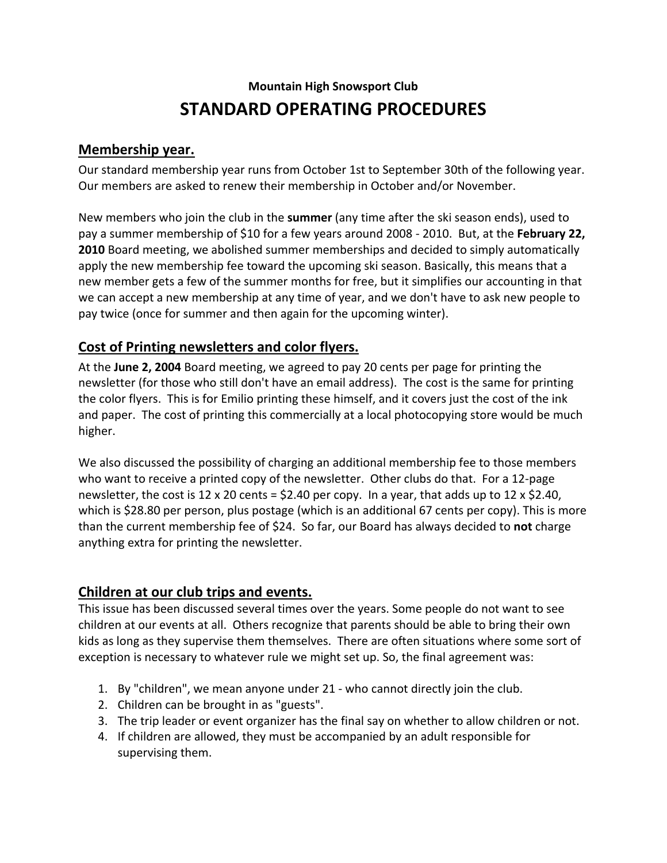# **Mountain High Snowsport Club STANDARD OPERATING PROCEDURES**

#### **Membership year.**

Our standard membership year runs from October 1st to September 30th of the following year. Our members are asked to renew their membership in October and/or November.

New members who join the club in the **summer** (any time after the ski season ends), used to pay a summer membership of \$10 for a few years around 2008 - 2010. But, at the **February 22, 2010** Board meeting, we abolished summer memberships and decided to simply automatically apply the new membership fee toward the upcoming ski season. Basically, this means that a new member gets a few of the summer months for free, but it simplifies our accounting in that we can accept a new membership at any time of year, and we don't have to ask new people to pay twice (once for summer and then again for the upcoming winter).

# **Cost of Printing newsletters and color flyers.**

At the **June 2, 2004** Board meeting, we agreed to pay 20 cents per page for printing the newsletter (for those who still don't have an email address). The cost is the same for printing the color flyers. This is for Emilio printing these himself, and it covers just the cost of the ink and paper. The cost of printing this commercially at a local photocopying store would be much higher.

We also discussed the possibility of charging an additional membership fee to those members who want to receive a printed copy of the newsletter. Other clubs do that. For a 12-page newsletter, the cost is 12 x 20 cents = \$2.40 per copy. In a year, that adds up to 12 x \$2.40, which is \$28.80 per person, plus postage (which is an additional 67 cents per copy). This is more than the current membership fee of \$24. So far, our Board has always decided to **not** charge anything extra for printing the newsletter.

# **Children at our club trips and events.**

This issue has been discussed several times over the years. Some people do not want to see children at our events at all. Others recognize that parents should be able to bring their own kids as long as they supervise them themselves. There are often situations where some sort of exception is necessary to whatever rule we might set up. So, the final agreement was:

- 1. By "children", we mean anyone under 21 who cannot directly join the club.
- 2. Children can be brought in as "guests".
- 3. The trip leader or event organizer has the final say on whether to allow children or not.
- 4. If children are allowed, they must be accompanied by an adult responsible for supervising them.